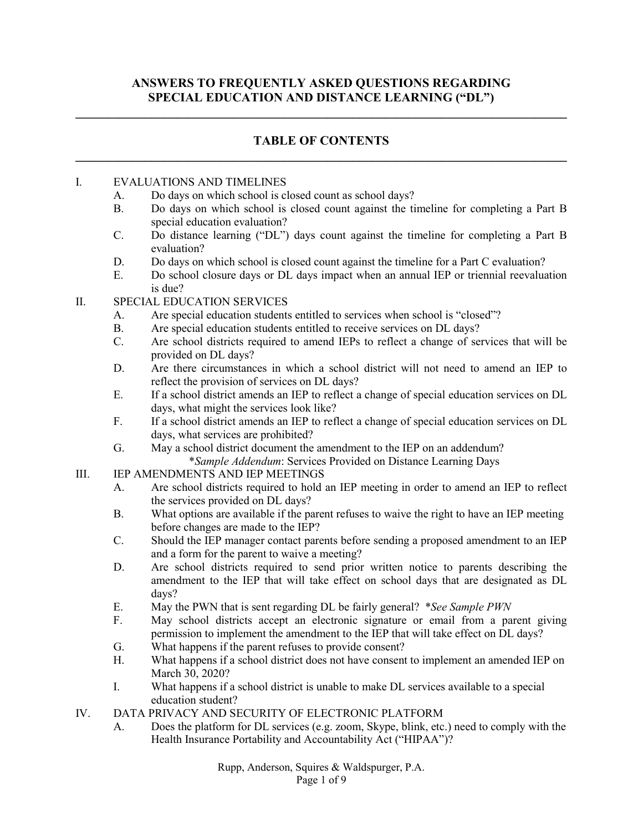## **ANSWERS TO FREQUENTLY ASKED QUESTIONS REGARDING SPECIAL EDUCATION AND DISTANCE LEARNING ("DL")**

**\_\_\_\_\_\_\_\_\_\_\_\_\_\_\_\_\_\_\_\_\_\_\_\_\_\_\_\_\_\_\_\_\_\_\_\_\_\_\_\_\_\_\_\_\_\_\_\_\_\_\_\_\_\_\_\_\_\_\_\_\_\_\_\_\_\_\_\_\_\_\_\_\_\_\_\_\_\_**

## **TABLE OF CONTENTS \_\_\_\_\_\_\_\_\_\_\_\_\_\_\_\_\_\_\_\_\_\_\_\_\_\_\_\_\_\_\_\_\_\_\_\_\_\_\_\_\_\_\_\_\_\_\_\_\_\_\_\_\_\_\_\_\_\_\_\_\_\_\_\_\_\_\_\_\_\_\_\_\_\_\_\_\_\_**

#### I. EVALUATIONS AND TIMELINES

- A. Do days on which school is closed count as school days?
- B. Do days on which school is closed count against the timeline for completing a Part B special education evaluation?
- C. Do distance learning ("DL") days count against the timeline for completing a Part B evaluation?
- D. Do days on which school is closed count against the timeline for a Part C evaluation?
- E. Do school closure days or DL days impact when an annual IEP or triennial reevaluation is due?
- II. SPECIAL EDUCATION SERVICES
	- A. Are special education students entitled to services when school is "closed"?
	- B. Are special education students entitled to receive services on DL days?
	- C. Are school districts required to amend IEPs to reflect a change of services that will be provided on DL days?
	- D. Are there circumstances in which a school district will not need to amend an IEP to reflect the provision of services on DL days?
	- E. If a school district amends an IEP to reflect a change of special education services on DL days, what might the services look like?
	- F. If a school district amends an IEP to reflect a change of special education services on DL days, what services are prohibited?
	- G. May a school district document the amendment to the IEP on an addendum? \**Sample Addendum*: Services Provided on Distance Learning Days
- III. IEP AMENDMENTS AND IEP MEETINGS
	- A. Are school districts required to hold an IEP meeting in order to amend an IEP to reflect the services provided on DL days?
	- B. What options are available if the parent refuses to waive the right to have an IEP meeting before changes are made to the IEP?
	- C. Should the IEP manager contact parents before sending a proposed amendment to an IEP and a form for the parent to waive a meeting?
	- D. Are school districts required to send prior written notice to parents describing the amendment to the IEP that will take effect on school days that are designated as DL days?
	- E. May the PWN that is sent regarding DL be fairly general? \**See Sample PWN*
	- F. May school districts accept an electronic signature or email from a parent giving permission to implement the amendment to the IEP that will take effect on DL days?
	- G. What happens if the parent refuses to provide consent?
	- H. What happens if a school district does not have consent to implement an amended IEP on March 30, 2020?
	- I. What happens if a school district is unable to make DL services available to a special education student?
- IV. DATA PRIVACY AND SECURITY OF ELECTRONIC PLATFORM
	- A. Does the platform for DL services (e.g. zoom, Skype, blink, etc.) need to comply with the Health Insurance Portability and Accountability Act ("HIPAA")?

Rupp, Anderson, Squires & Waldspurger, P.A. Page 1 of 9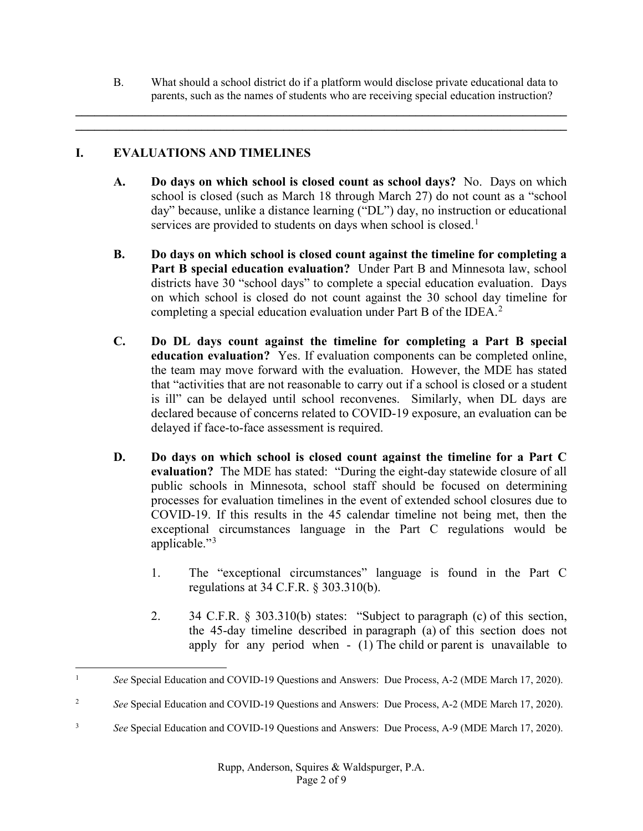B. What should a school district do if a platform would disclose private educational data to parents, such as the names of students who are receiving special education instruction?

**\_\_\_\_\_\_\_\_\_\_\_\_\_\_\_\_\_\_\_\_\_\_\_\_\_\_\_\_\_\_\_\_\_\_\_\_\_\_\_\_\_\_\_\_\_\_\_\_\_\_\_\_\_\_\_\_\_\_\_\_\_\_\_\_\_\_\_\_\_\_\_\_\_\_\_\_\_\_ \_\_\_\_\_\_\_\_\_\_\_\_\_\_\_\_\_\_\_\_\_\_\_\_\_\_\_\_\_\_\_\_\_\_\_\_\_\_\_\_\_\_\_\_\_\_\_\_\_\_\_\_\_\_\_\_\_\_\_\_\_\_\_\_\_\_\_\_\_\_\_\_\_\_\_\_\_\_**

# **I. EVALUATIONS AND TIMELINES**

- **A. Do days on which school is closed count as school days?** No. Days on which school is closed (such as March 18 through March 27) do not count as a "school day" because, unlike a distance learning ("DL") day, no instruction or educational services are provided to students on days when school is closed.<sup>[1](#page-1-0)</sup>
- **B. Do days on which school is closed count against the timeline for completing a Part B special education evaluation?** Under Part B and Minnesota law, school districts have 30 "school days" to complete a special education evaluation. Days on which school is closed do not count against the 30 school day timeline for completing a special education evaluation under Part B of the IDEA.<sup>[2](#page-1-1)</sup>
- **C. Do DL days count against the timeline for completing a Part B special education evaluation?** Yes. If evaluation components can be completed online, the team may move forward with the evaluation. However, the MDE has stated that "activities that are not reasonable to carry out if a school is closed or a student is ill" can be delayed until school reconvenes. Similarly, when DL days are declared because of concerns related to COVID-19 exposure, an evaluation can be delayed if face-to-face assessment is required.
- **D. Do days on which school is closed count against the timeline for a Part C evaluation?** The MDE has stated: "During the eight-day statewide closure of all public schools in Minnesota, school staff should be focused on determining processes for evaluation timelines in the event of extended school closures due to COVID-19. If this results in the 45 calendar timeline not being met, then the exceptional circumstances language in the Part C regulations would be applicable."<sup>[3](#page-1-2)</sup>
	- 1. The "exceptional circumstances" language is found in the Part C regulations at 34 C.F.R. § 303.310(b).
	- 2. 34 C.F.R. § 303.310(b) states: "Subject to [paragraph \(c\)](https://www.law.cornell.edu/cfr/text/34/303.310#c) of this section, the 45-day timeline described in [paragraph \(a\)](https://www.law.cornell.edu/cfr/text/34/303.310#a) of this section does not apply for any period when - (1) The [child](https://www.law.cornell.edu/definitions/index.php?width=840&height=800&iframe=true&def_id=8e2e3a85ecc12e1b1dcb019a9c0ca35f&term_occur=999&term_src=Title:34:Subtitle:B:Chapter:III:Part:303:Subpart:D:Subjgrp:115:303.310) or [parent](https://www.law.cornell.edu/definitions/index.php?width=840&height=800&iframe=true&def_id=af030cf9a15f7dab444483e77c7a533f&term_occur=999&term_src=Title:34:Subtitle:B:Chapter:III:Part:303:Subpart:D:Subjgrp:115:303.310) is unavailable to

<span id="page-1-0"></span><sup>&</sup>lt;sup>1</sup> *See* Special Education and COVID-19 Questions and Answers: Due Process, A-2 (MDE March 17, 2020).

<span id="page-1-1"></span><sup>&</sup>lt;sup>2</sup> *See* Special Education and COVID-19 Questions and Answers: Due Process, A-2 (MDE March 17, 2020).

<span id="page-1-2"></span><sup>3</sup> *See* Special Education and COVID-19 Questions and Answers: Due Process, A-9 (MDE March 17, 2020).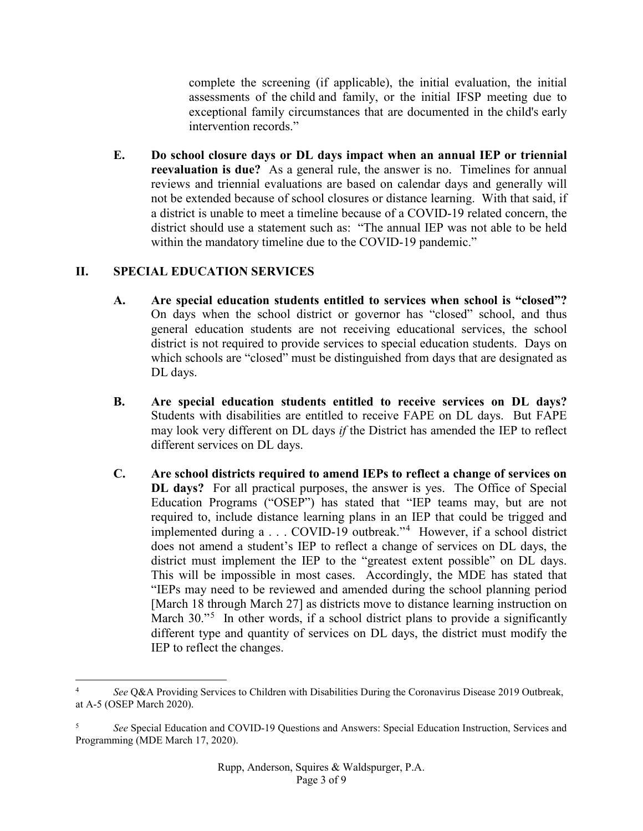complete the screening (if applicable), the initial evaluation, the initial assessments of the [child](https://www.law.cornell.edu/definitions/index.php?width=840&height=800&iframe=true&def_id=8e2e3a85ecc12e1b1dcb019a9c0ca35f&term_occur=999&term_src=Title:34:Subtitle:B:Chapter:III:Part:303:Subpart:D:Subjgrp:115:303.310) and family, or the initial IFSP meeting due to exceptional family circumstances that are documented in the [child'](https://www.law.cornell.edu/definitions/index.php?width=840&height=800&iframe=true&def_id=8e2e3a85ecc12e1b1dcb019a9c0ca35f&term_occur=999&term_src=Title:34:Subtitle:B:Chapter:III:Part:303:Subpart:D:Subjgrp:115:303.310)s [early](https://www.law.cornell.edu/definitions/index.php?width=840&height=800&iframe=true&def_id=967681b65138bafc84ea1db8390eb0df&term_occur=999&term_src=Title:34:Subtitle:B:Chapter:III:Part:303:Subpart:D:Subjgrp:115:303.310)  [intervention records.](https://www.law.cornell.edu/definitions/index.php?width=840&height=800&iframe=true&def_id=967681b65138bafc84ea1db8390eb0df&term_occur=999&term_src=Title:34:Subtitle:B:Chapter:III:Part:303:Subpart:D:Subjgrp:115:303.310)"

**E. Do school closure days or DL days impact when an annual IEP or triennial reevaluation is due?** As a general rule, the answer is no. Timelines for annual reviews and triennial evaluations are based on calendar days and generally will not be extended because of school closures or distance learning. With that said, if a district is unable to meet a timeline because of a COVID-19 related concern, the district should use a statement such as: "The annual IEP was not able to be held within the mandatory timeline due to the COVID-19 pandemic."

# **II. SPECIAL EDUCATION SERVICES**

- **A. Are special education students entitled to services when school is "closed"?**  On days when the school district or governor has "closed" school, and thus general education students are not receiving educational services, the school district is not required to provide services to special education students. Days on which schools are "closed" must be distinguished from days that are designated as DL days.
- **B. Are special education students entitled to receive services on DL days?**  Students with disabilities are entitled to receive FAPE on DL days. But FAPE may look very different on DL days *if* the District has amended the IEP to reflect different services on DL days.
- **C. Are school districts required to amend IEPs to reflect a change of services on DL days?** For all practical purposes, the answer is yes. The Office of Special Education Programs ("OSEP") has stated that "IEP teams may, but are not required to, include distance learning plans in an IEP that could be trigged and implemented during a . . . COVID-19 outbreak."[4](#page-2-0) However, if a school district does not amend a student's IEP to reflect a change of services on DL days, the district must implement the IEP to the "greatest extent possible" on DL days. This will be impossible in most cases. Accordingly, the MDE has stated that "IEPs may need to be reviewed and amended during the school planning period [March 18 through March 27] as districts move to distance learning instruction on March 30."<sup>[5](#page-2-1)</sup> In other words, if a school district plans to provide a significantly different type and quantity of services on DL days, the district must modify the IEP to reflect the changes.

<span id="page-2-0"></span>See Q&A Providing Services to Children with Disabilities During the Coronavirus Disease 2019 Outbreak, at A-5 (OSEP March 2020).

<span id="page-2-1"></span><sup>5</sup> *See* Special Education and COVID-19 Questions and Answers: Special Education Instruction, Services and Programming (MDE March 17, 2020).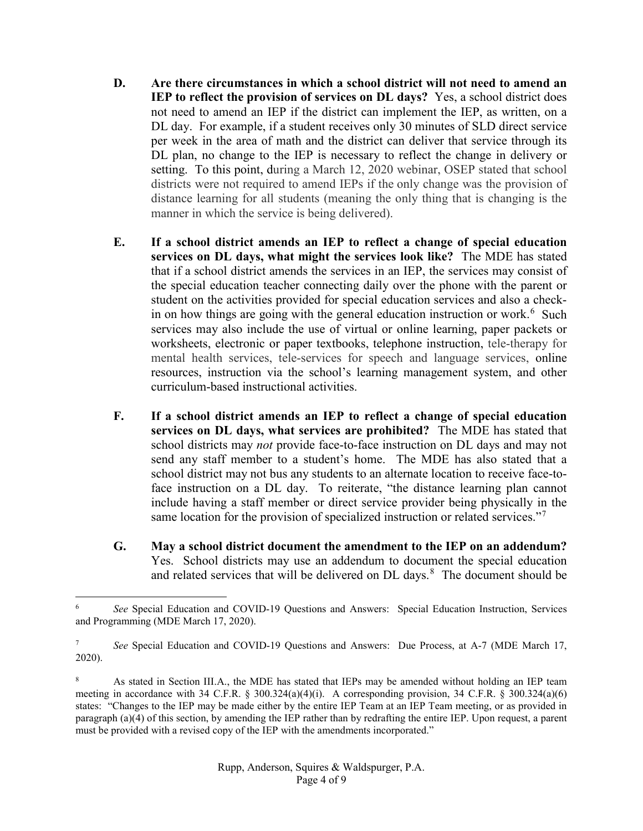- **D. Are there circumstances in which a school district will not need to amend an IEP to reflect the provision of services on DL days?** Yes, a school district does not need to amend an IEP if the district can implement the IEP, as written, on a DL day. For example, if a student receives only 30 minutes of SLD direct service per week in the area of math and the district can deliver that service through its DL plan, no change to the IEP is necessary to reflect the change in delivery or setting. To this point, during a March 12, 2020 webinar, OSEP stated that school districts were not required to amend IEPs if the only change was the provision of distance learning for all students (meaning the only thing that is changing is the manner in which the service is being delivered).
- **E. If a school district amends an IEP to reflect a change of special education services on DL days, what might the services look like?** The MDE has stated that if a school district amends the services in an IEP, the services may consist of the special education teacher connecting daily over the phone with the parent or student on the activities provided for special education services and also a checkin on how things are going with the general education instruction or work. [6](#page-3-0) Such services may also include the use of virtual or online learning, paper packets or worksheets, electronic or paper textbooks, telephone instruction, tele-therapy for mental health services, tele-services for speech and language services, online resources, instruction via the school's learning management system, and other curriculum-based instructional activities.
- **F. If a school district amends an IEP to reflect a change of special education services on DL days, what services are prohibited?** The MDE has stated that school districts may *not* provide face-to-face instruction on DL days and may not send any staff member to a student's home. The MDE has also stated that a school district may not bus any students to an alternate location to receive face-toface instruction on a DL day. To reiterate, "the distance learning plan cannot include having a staff member or direct service provider being physically in the same location for the provision of specialized instruction or related services."[7](#page-3-1)
- **G. May a school district document the amendment to the IEP on an addendum?**  Yes. School districts may use an addendum to document the special education and related services that will be delivered on  $DL$  days.<sup>[8](#page-3-2)</sup> The document should be

<span id="page-3-0"></span> <sup>6</sup> *See* Special Education and COVID-19 Questions and Answers: Special Education Instruction, Services and Programming (MDE March 17, 2020).

<span id="page-3-1"></span><sup>7</sup> *See* Special Education and COVID-19 Questions and Answers: Due Process, at A-7 (MDE March 17, 2020).

<span id="page-3-2"></span><sup>8</sup> As stated in Section III.A., the MDE has stated that IEPs may be amended without holding an IEP team meeting in accordance with 34 C.F.R. § 300.324(a)(4)(i). A corresponding provision, 34 C.F.R. § 300.324(a)(6) states: "Changes to the IEP may be made either by the entire IEP Team at an IEP Team meeting, or as provided in paragraph (a)(4) of this section, by amending the IEP rather than by redrafting the entire IEP. Upon request, a parent must be provided with a revised copy of the IEP with the amendments incorporated."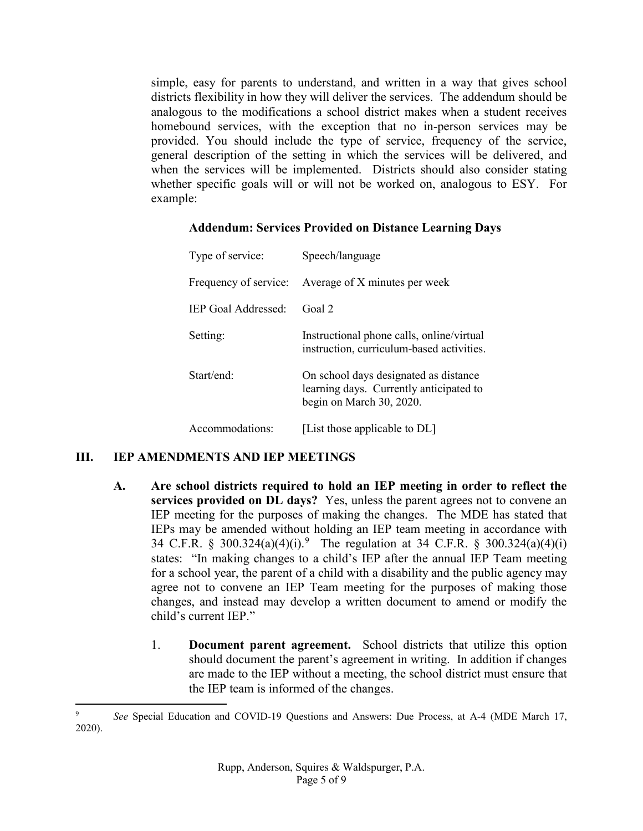simple, easy for parents to understand, and written in a way that gives school districts flexibility in how they will deliver the services. The addendum should be analogous to the modifications a school district makes when a student receives homebound services, with the exception that no in-person services may be provided. You should include the type of service, frequency of the service, general description of the setting in which the services will be delivered, and when the services will be implemented. Districts should also consider stating whether specific goals will or will not be worked on, analogous to ESY. For example:

| <b>Addendum: Services Provided on Distance Learning Days</b> |  |  |  |
|--------------------------------------------------------------|--|--|--|
|                                                              |  |  |  |

| Type of service:      | Speech/language                                                                                              |  |  |
|-----------------------|--------------------------------------------------------------------------------------------------------------|--|--|
| Frequency of service: | Average of X minutes per week                                                                                |  |  |
| IEP Goal Addressed:   | Goal 2                                                                                                       |  |  |
| Setting:              | Instructional phone calls, online/virtual<br>instruction, curriculum-based activities.                       |  |  |
| Start/end             | On school days designated as distance<br>learning days. Currently anticipated to<br>begin on March 30, 2020. |  |  |
| Accommodations:       | [List those applicable to DL]                                                                                |  |  |

## **III. IEP AMENDMENTS AND IEP MEETINGS**

- **A. Are school districts required to hold an IEP meeting in order to reflect the services provided on DL days?** Yes, unless the parent agrees not to convene an IEP meeting for the purposes of making the changes. The MDE has stated that IEPs may be amended without holding an IEP team meeting in accordance with 34 C.F.R. § 300.324(a)(4)(i).<sup>[9](#page-4-0)</sup> The regulation at 34 C.F.R. § 300.324(a)(4)(i) states: "In making changes to a child's IEP after the annual IEP Team meeting for a school year, the parent of a child with a disability and the public agency may agree not to convene an IEP Team meeting for the purposes of making those changes, and instead may develop a written document to amend or modify the child's current IEP."
	- 1. **Document parent agreement.** School districts that utilize this option should document the parent's agreement in writing. In addition if changes are made to the IEP without a meeting, the school district must ensure that the IEP team is informed of the changes.

<span id="page-4-0"></span> <sup>9</sup> *See* Special Education and COVID-19 Questions and Answers: Due Process, at A-4 (MDE March 17, 2020).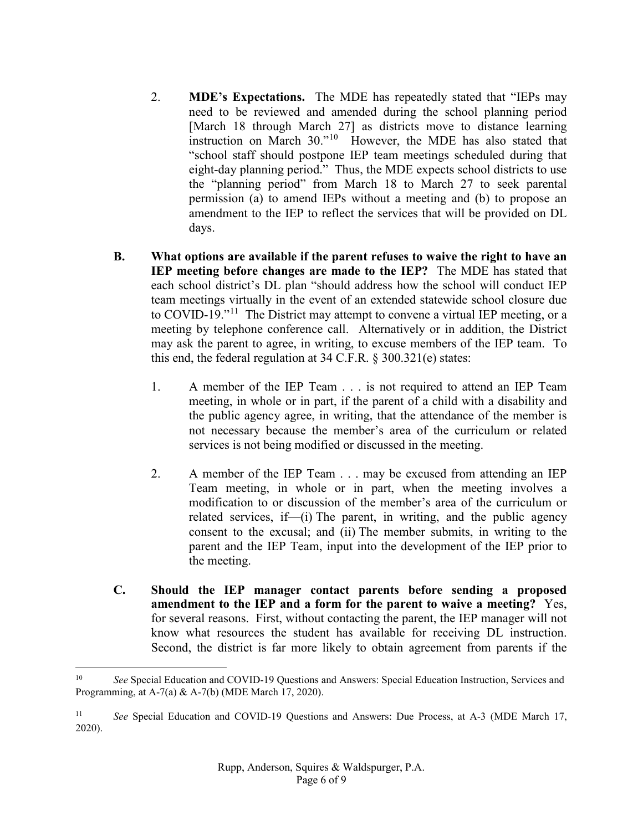- 2. **MDE's Expectations.** The MDE has repeatedly stated that "IEPs may need to be reviewed and amended during the school planning period [March 18 through March 27] as districts move to distance learning instruction on March 30."<sup>10</sup> However, the MDE has also stated that "school staff should postpone IEP team meetings scheduled during that eight-day planning period." Thus, the MDE expects school districts to use the "planning period" from March 18 to March 27 to seek parental permission (a) to amend IEPs without a meeting and (b) to propose an amendment to the IEP to reflect the services that will be provided on DL days.
- **B. What options are available if the parent refuses to waive the right to have an IEP meeting before changes are made to the IEP?** The MDE has stated that each school district's DL plan "should address how the school will conduct IEP team meetings virtually in the event of an extended statewide school closure due to COVID-19."[11](#page-5-1) The District may attempt to convene a virtual IEP meeting, or a meeting by telephone conference call. Alternatively or in addition, the District may ask the parent to agree, in writing, to excuse members of the IEP team. To this end, the federal regulation at 34 C.F.R. § 300.321(e) states:
	- 1. A member of the IEP Team . . . is not required to attend an IEP Team meeting, in whole or in part, if the parent of a child with a disability and the public agency agree, in writing, that the attendance of the member is not necessary because the member's area of the curriculum or related services is not being modified or discussed in the meeting.
	- 2. A member of the IEP Team . . . may be excused from attending an IEP Team meeting, in whole or in part, when the meeting involves a modification to or discussion of the member's area of the curriculum or related services, if[—\(i\)](https://sites.ed.gov/idea/regs/b/d/300.321/e/2/i) The parent, in writing, and the public agency consent to the excusal; and [\(ii\)](https://sites.ed.gov/idea/regs/b/d/300.321/e/2/ii) The member submits, in writing to the parent and the IEP Team, input into the development of the IEP prior to the meeting.
- **C. Should the IEP manager contact parents before sending a proposed amendment to the IEP and a form for the parent to waive a meeting?** Yes, for several reasons. First, without contacting the parent, the IEP manager will not know what resources the student has available for receiving DL instruction. Second, the district is far more likely to obtain agreement from parents if the

<span id="page-5-0"></span><sup>&</sup>lt;sup>10</sup> *See* Special Education and COVID-19 Questions and Answers: Special Education Instruction, Services and Programming, at A-7(a) & A-7(b) (MDE March 17, 2020).

<span id="page-5-1"></span><sup>11</sup> *See* Special Education and COVID-19 Questions and Answers: Due Process, at A-3 (MDE March 17, 2020).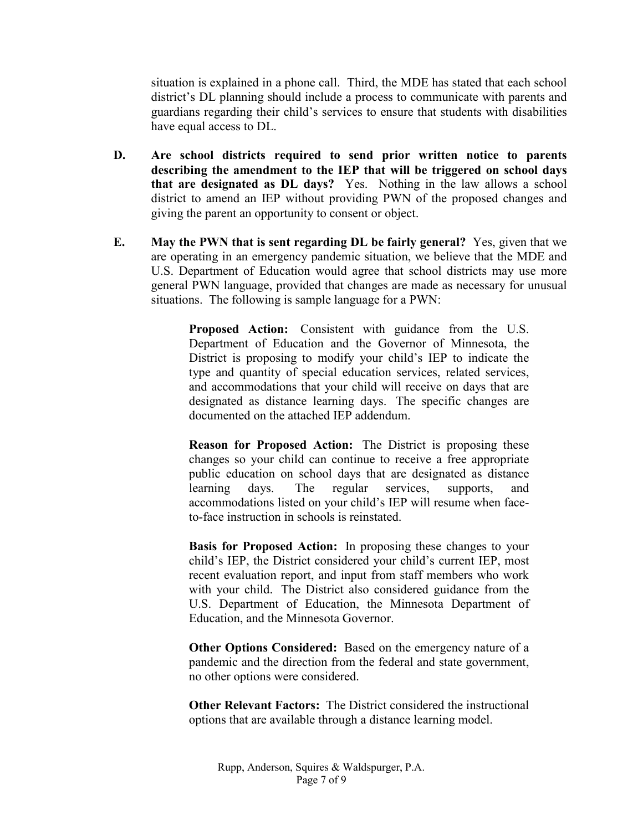situation is explained in a phone call. Third, the MDE has stated that each school district's DL planning should include a process to communicate with parents and guardians regarding their child's services to ensure that students with disabilities have equal access to DL.

- **D. Are school districts required to send prior written notice to parents describing the amendment to the IEP that will be triggered on school days that are designated as DL days?** Yes. Nothing in the law allows a school district to amend an IEP without providing PWN of the proposed changes and giving the parent an opportunity to consent or object.
- **E. May the PWN that is sent regarding DL be fairly general?** Yes, given that we are operating in an emergency pandemic situation, we believe that the MDE and U.S. Department of Education would agree that school districts may use more general PWN language, provided that changes are made as necessary for unusual situations. The following is sample language for a PWN:

**Proposed Action:** Consistent with guidance from the U.S. Department of Education and the Governor of Minnesota, the District is proposing to modify your child's IEP to indicate the type and quantity of special education services, related services, and accommodations that your child will receive on days that are designated as distance learning days. The specific changes are documented on the attached IEP addendum.

**Reason for Proposed Action:** The District is proposing these changes so your child can continue to receive a free appropriate public education on school days that are designated as distance learning days. The regular services, supports, and accommodations listed on your child's IEP will resume when faceto-face instruction in schools is reinstated.

**Basis for Proposed Action:** In proposing these changes to your child's IEP, the District considered your child's current IEP, most recent evaluation report, and input from staff members who work with your child. The District also considered guidance from the U.S. Department of Education, the Minnesota Department of Education, and the Minnesota Governor.

**Other Options Considered:** Based on the emergency nature of a pandemic and the direction from the federal and state government, no other options were considered.

**Other Relevant Factors:** The District considered the instructional options that are available through a distance learning model.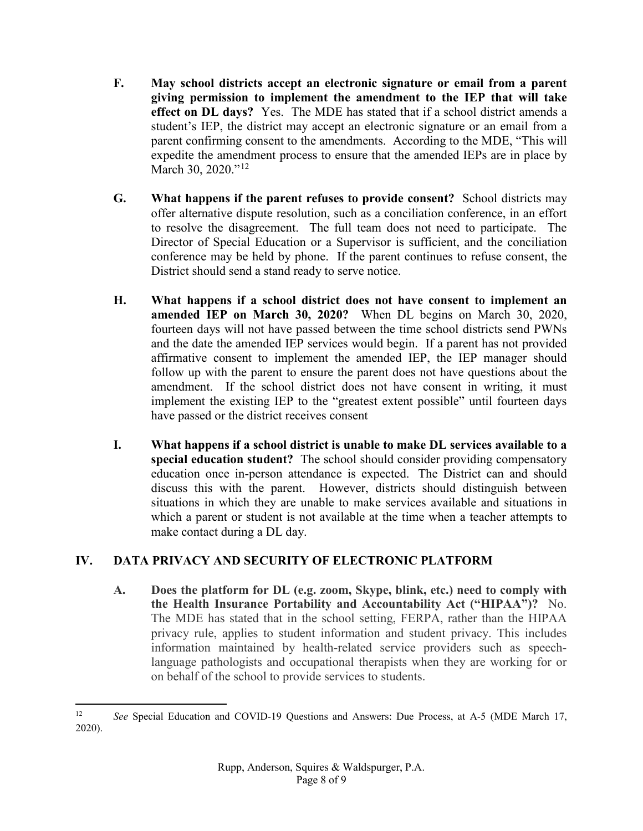- **F. May school districts accept an electronic signature or email from a parent giving permission to implement the amendment to the IEP that will take effect on DL days?** Yes. The MDE has stated that if a school district amends a student's IEP, the district may accept an electronic signature or an email from a parent confirming consent to the amendments. According to the MDE, "This will expedite the amendment process to ensure that the amended IEPs are in place by March 30, 2020."<sup>[12](#page-7-0)</sup>
- **G. What happens if the parent refuses to provide consent?** School districts may offer alternative dispute resolution, such as a conciliation conference, in an effort to resolve the disagreement. The full team does not need to participate. The Director of Special Education or a Supervisor is sufficient, and the conciliation conference may be held by phone. If the parent continues to refuse consent, the District should send a stand ready to serve notice.
- **H. What happens if a school district does not have consent to implement an amended IEP on March 30, 2020?** When DL begins on March 30, 2020, fourteen days will not have passed between the time school districts send PWNs and the date the amended IEP services would begin. If a parent has not provided affirmative consent to implement the amended IEP, the IEP manager should follow up with the parent to ensure the parent does not have questions about the amendment. If the school district does not have consent in writing, it must implement the existing IEP to the "greatest extent possible" until fourteen days have passed or the district receives consent
- **I. What happens if a school district is unable to make DL services available to a special education student?** The school should consider providing compensatory education once in-person attendance is expected. The District can and should discuss this with the parent. However, districts should distinguish between situations in which they are unable to make services available and situations in which a parent or student is not available at the time when a teacher attempts to make contact during a DL day.

# **IV. DATA PRIVACY AND SECURITY OF ELECTRONIC PLATFORM**

**A. Does the platform for DL (e.g. zoom, Skype, blink, etc.) need to comply with the Health Insurance Portability and Accountability Act ("HIPAA")?** No. The MDE has stated that in the school setting, FERPA, rather than the HIPAA privacy rule, applies to student information and student privacy. This includes information maintained by health-related service providers such as speechlanguage pathologists and occupational therapists when they are working for or on behalf of the school to provide services to students.

<span id="page-7-0"></span><sup>&</sup>lt;sup>12</sup> *See Special Education and COVID-19 Questions and Answers: Due Process, at A-5 (MDE March 17, 12)* 2020).